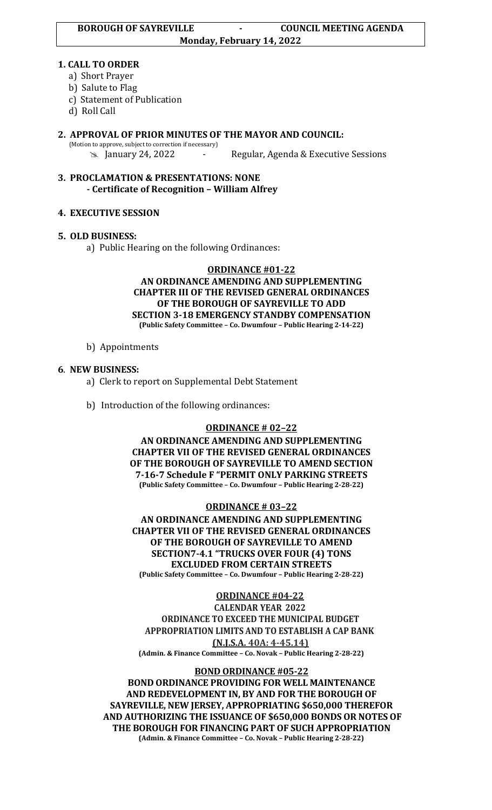#### **1. CALL TO ORDER**

- a) Short Prayer
- b) Salute to Flag
- c) Statement of Publication
- d) Roll Call
- **2. APPROVAL OF PRIOR MINUTES OF THE MAYOR AND COUNCIL:**  (Motion to approve, subject to correction if necessary) January 24, 2022 - Regular, Agenda & Executive Sessions
- **3. PROCLAMATION & PRESENTATIONS: NONE - Certificate of Recognition – William Alfrey**

# **4. EXECUTIVE SESSION**

# **5. OLD BUSINESS:**

a) Public Hearing on the following Ordinances:

#### **ORDINANCE #01-22 AN ORDINANCE AMENDING AND SUPPLEMENTING CHAPTER III OF THE REVISED GENERAL ORDINANCES OF THE BOROUGH OF SAYREVILLE TO ADD SECTION 3-18 EMERGENCY STANDBY COMPENSATION (Public Safety Committee – Co. Dwumfour – Public Hearing 2-14-22)**

b) Appointments

# **6**. **NEW BUSINESS:**

- a) Clerk to report on Supplemental Debt Statement
- b) Introduction of the following ordinances:

## **ORDINANCE # 02–22**

**AN ORDINANCE AMENDING AND SUPPLEMENTING CHAPTER VII OF THE REVISED GENERAL ORDINANCES OF THE BOROUGH OF SAYREVILLE TO AMEND SECTION 7-16-7 Schedule F "PERMIT ONLY PARKING STREETS (Public Safety Committee – Co. Dwumfour – Public Hearing 2-28-22)**

## **ORDINANCE # 03–22**

**AN ORDINANCE AMENDING AND SUPPLEMENTING CHAPTER VII OF THE REVISED GENERAL ORDINANCES OF THE BOROUGH OF SAYREVILLE TO AMEND SECTION7-4.1 "TRUCKS OVER FOUR (4) TONS EXCLUDED FROM CERTAIN STREETS (Public Safety Committee – Co. Dwumfour – Public Hearing 2-28-22)**

**ORDINANCE #04-22**

**CALENDAR YEAR 2022**

**ORDINANCE TO EXCEED THE MUNICIPAL BUDGET APPROPRIATION LIMITS AND TO ESTABLISH A CAP BANK (N.J.S.A. 40A: 4-45.14)**

**(Admin. & Finance Committee – Co. Novak – Public Hearing 2-28-22)**

# **BOND ORDINANCE #05-22**

**BOND ORDINANCE PROVIDING FOR WELL MAINTENANCE AND REDEVELOPMENT IN, BY AND FOR THE BOROUGH OF SAYREVILLE, NEW JERSEY, APPROPRIATING \$650,000 THEREFOR AND AUTHORIZING THE ISSUANCE OF \$650,000 BONDS OR NOTES OF THE BOROUGH FOR FINANCING PART OF SUCH APPROPRIATION (Admin. & Finance Committee – Co. Novak – Public Hearing 2-28-22)**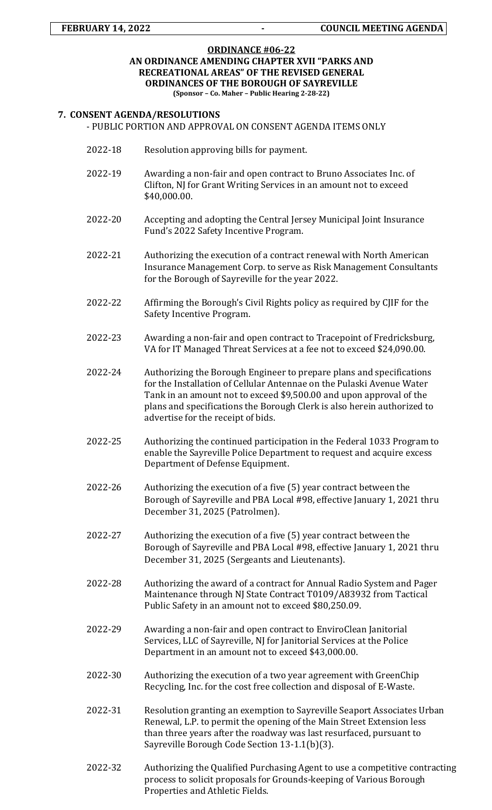#### **ORDINANCE #06-22 AN ORDINANCE AMENDING CHAPTER XVII "PARKS AND RECREATIONAL AREAS" OF THE REVISED GENERAL ORDINANCES OF THE BOROUGH OF SAYREVILLE (Sponsor – Co. Maher – Public Hearing 2-28-22)**

#### **7. CONSENT AGENDA/RESOLUTIONS** - PUBLIC PORTION AND APPROVAL ON CONSENT AGENDA ITEMS ONLY

- 2022-18 Resolution approving bills for payment.
- 2022-19 Awarding a non-fair and open contract to Bruno Associates Inc. of Clifton, NJ for Grant Writing Services in an amount not to exceed \$40,000.00.
- 2022-20 Accepting and adopting the Central Jersey Municipal Joint Insurance Fund's 2022 Safety Incentive Program.
- 2022-21 Authorizing the execution of a contract renewal with North American Insurance Management Corp. to serve as Risk Management Consultants for the Borough of Sayreville for the year 2022.
- 2022-22 Affirming the Borough's Civil Rights policy as required by CJIF for the Safety Incentive Program.
- 2022-23 Awarding a non-fair and open contract to Tracepoint of Fredricksburg, VA for IT Managed Threat Services at a fee not to exceed \$24,090.00.
- 2022-24 Authorizing the Borough Engineer to prepare plans and specifications for the Installation of Cellular Antennae on the Pulaski Avenue Water Tank in an amount not to exceed \$9,500.00 and upon approval of the plans and specifications the Borough Clerk is also herein authorized to advertise for the receipt of bids.
- 2022-25 Authorizing the continued participation in the Federal 1033 Program to enable the Sayreville Police Department to request and acquire excess Department of Defense Equipment.
- 2022-26 Authorizing the execution of a five (5) year contract between the Borough of Sayreville and PBA Local #98, effective January 1, 2021 thru December 31, 2025 (Patrolmen).
- 2022-27 Authorizing the execution of a five (5) year contract between the Borough of Sayreville and PBA Local #98, effective January 1, 2021 thru December 31, 2025 (Sergeants and Lieutenants).
- 2022-28 Authorizing the award of a contract for Annual Radio System and Pager Maintenance through NJ State Contract T0109/A83932 from Tactical Public Safety in an amount not to exceed \$80,250.09.
- 2022-29 Awarding a non-fair and open contract to EnviroClean Janitorial Services, LLC of Sayreville, NJ for Janitorial Services at the Police Department in an amount not to exceed \$43,000.00.
- 2022-30 Authorizing the execution of a two year agreement with GreenChip Recycling, Inc. for the cost free collection and disposal of E-Waste.
- 2022-31 Resolution granting an exemption to Sayreville Seaport Associates Urban Renewal, L.P. to permit the opening of the Main Street Extension less than three years after the roadway was last resurfaced, pursuant to Sayreville Borough Code Section 13-1.1(b)(3).
- 2022-32 Authorizing the Qualified Purchasing Agent to use a competitive contracting process to solicit proposals for Grounds-keeping of Various Borough Properties and Athletic Fields.